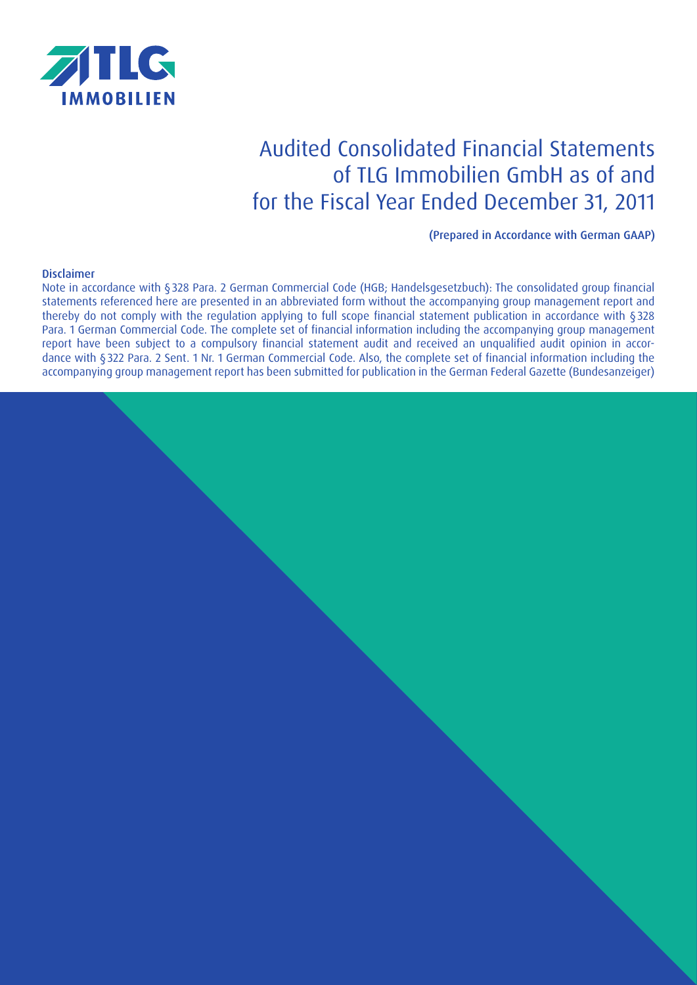

# Audited Consolidated Financial Statements of TLG Immobilien GmbH as of and for the Fiscal Year Ended December 31, 2011

(Prepared in Accordance with German GAAP)

#### Disclaimer

Note in accordance with §328 Para. 2 German Commercial Code (HGB; Handelsgesetzbuch): The consolidated group financial statements referenced here are presented in an abbreviated form without the accompanying group management report and thereby do not comply with the regulation applying to full scope financial statement publication in accordance with §328 Para. 1 German Commercial Code. The complete set of financial information including the accompanying group management report have been subject to a compulsory financial statement audit and received an unqualified audit opinion in accordance with §322 Para. 2 Sent. 1 Nr. 1 German Commercial Code. Also, the complete set of financial information including the accompanying group management report has been submitted for publication in the German Federal Gazette (Bundesanzeiger)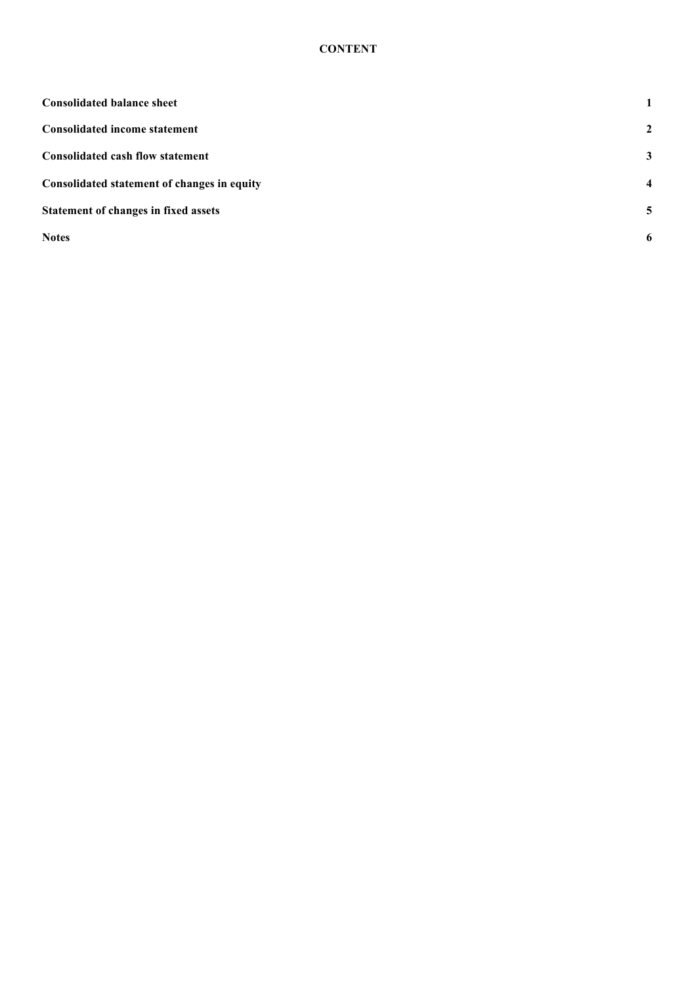# **CONTENT**

| <b>Consolidated balance sheet</b>           | $\mathbf{1}$            |
|---------------------------------------------|-------------------------|
| <b>Consolidated income statement</b>        | 2                       |
| <b>Consolidated cash flow statement</b>     | $\mathbf{3}$            |
| Consolidated statement of changes in equity | $\overline{\mathbf{4}}$ |
| Statement of changes in fixed assets        | 5                       |
| <b>Notes</b>                                | 6                       |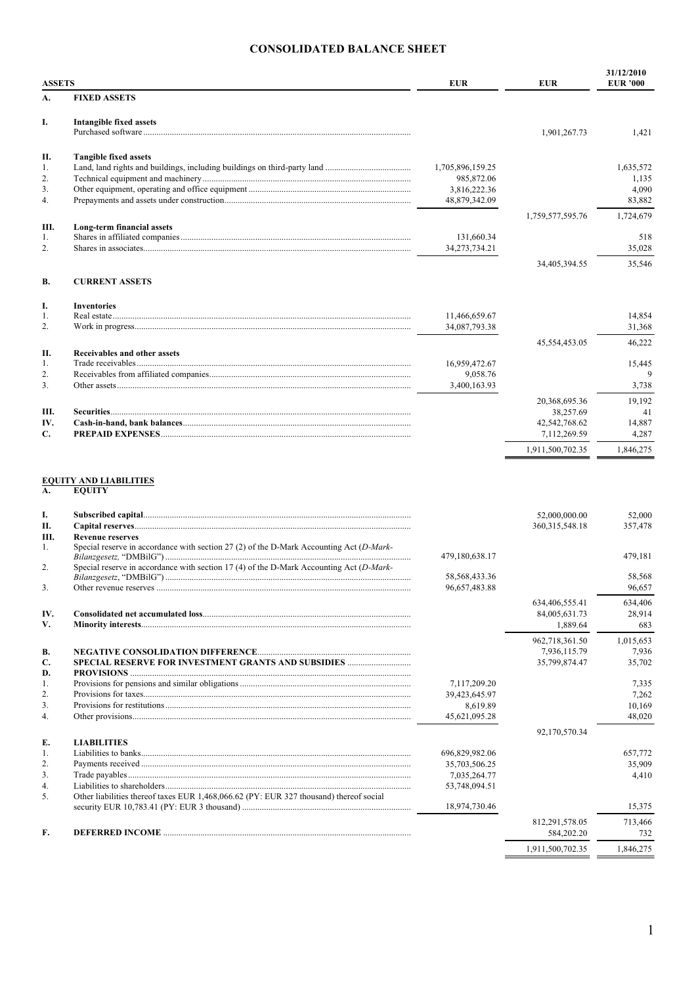# **CONSOLIDATED BALANCE SHEET**

| <b>ASSETS</b>    |                                     | <b>EUR</b>                  | <b>EUR</b>       | 31/12/2010<br><b>EUR</b> '000 |
|------------------|-------------------------------------|-----------------------------|------------------|-------------------------------|
| А.               | <b>FIXED ASSETS</b>                 |                             |                  |                               |
| I.               | <b>Intangible fixed assets</b>      |                             | 1,901,267.73     | 1,421                         |
| П.               | <b>Tangible fixed assets</b>        |                             |                  |                               |
| 1.               |                                     | 1,705,896,159.25            |                  | 1,635,572                     |
| $\overline{2}$ . |                                     | 985,872.06                  |                  | 1,135                         |
| 3.               |                                     | 3,816,222.36                |                  | 4,090                         |
| 4.               |                                     | 48,879,342.09               |                  | 83,882                        |
|                  |                                     |                             | 1,759,577,595.76 | 1,724,679                     |
| Ш.<br>1.         | Long-term financial assets          |                             |                  |                               |
| 2.               |                                     | 131,660.34<br>34,273,734.21 |                  | 518                           |
|                  |                                     |                             |                  | 35,028                        |
|                  |                                     |                             | 34,405,394.55    | 35,546                        |
| <b>B.</b>        | <b>CURRENT ASSETS</b>               |                             |                  |                               |
| I.               | <b>Inventories</b>                  |                             |                  |                               |
| 1.               |                                     | 11,466,659.67               |                  | 14.854                        |
| 2.               |                                     | 34,087,793.38               |                  | 31,368                        |
|                  |                                     |                             | 45,554,453.05    | 46,222                        |
| Π.               | <b>Receivables and other assets</b> |                             |                  |                               |
| $\mathbf{1}$ .   |                                     | 16,959,472.67               |                  | 15,445                        |
| 2.               |                                     | 9,058.76                    |                  | 9                             |
| 3 <sub>1</sub>   |                                     | 3,400,163.93                |                  | 3,738                         |
|                  |                                     |                             | 20,368,695.36    | 19,192                        |
| III.             |                                     |                             | 38,257.69        | 41                            |
| IV.              |                                     |                             | 42,542,768.62    | 14,887                        |
| C.               |                                     |                             | 7,112,269.59     | 4,287                         |
|                  |                                     |                             | 1,911,500,702.35 | 1,846,275                     |
|                  |                                     |                             |                  |                               |

# EQUITY AND LIABILITIES<br>A. EQUITY

| I.               |                                                                                             |                  | 52,000,000.00    | 52,000    |
|------------------|---------------------------------------------------------------------------------------------|------------------|------------------|-----------|
| П.               |                                                                                             |                  | 360.315.548.18   | 357,478   |
| III.             | <b>Revenue reserves</b>                                                                     |                  |                  |           |
| 1.               | Special reserve in accordance with section 27 (2) of the D-Mark Accounting Act ( $D$ -Mark- | 479,180,638.17   |                  | 479,181   |
| $\overline{2}$ . | Special reserve in accordance with section 17 (4) of the D-Mark Accounting Act $(D-Mark-)$  |                  |                  |           |
|                  |                                                                                             | 58, 568, 433. 36 |                  | 58,568    |
| 3.               |                                                                                             | 96,657,483.88    |                  | 96.657    |
|                  |                                                                                             |                  | 634,406,555.41   | 634,406   |
| IV.              |                                                                                             |                  | 84,005,631.73    | 28,914    |
| V.               |                                                                                             |                  | 1,889.64         | 683       |
|                  |                                                                                             |                  | 962,718,361.50   | 1,015,653 |
| <b>B.</b>        |                                                                                             |                  | 7,936,115.79     | 7,936     |
| C.               |                                                                                             |                  | 35,799,874.47    | 35,702    |
| D.               |                                                                                             |                  |                  |           |
| 1.               |                                                                                             | 7,117,209.20     |                  | 7,335     |
| $\overline{2}$ . |                                                                                             | 39,423,645.97    |                  | 7,262     |
| 3 <sub>1</sub>   |                                                                                             | 8,619.89         |                  | 10,169    |
| 4.               |                                                                                             | 45,621,095.28    |                  | 48,020    |
|                  |                                                                                             |                  | 92,170,570.34    |           |
| E.               | <b>LIABILITIES</b>                                                                          |                  |                  |           |
| 1.               |                                                                                             | 696,829,982.06   |                  | 657,772   |
| 2.               |                                                                                             | 35,703,506.25    |                  | 35,909    |
| 3 <sub>1</sub>   |                                                                                             | 7,035,264.77     |                  | 4,410     |
| 4.               |                                                                                             | 53,748,094.51    |                  |           |
| 5.               | Other liabilities thereof taxes EUR 1,468,066.62 (PY: EUR 327 thousand) thereof social      | 18,974,730.46    |                  | 15,375    |
|                  |                                                                                             |                  | 812,291,578.05   | 713,466   |
| F.               |                                                                                             |                  | 584,202.20       | 732       |
|                  |                                                                                             |                  | 1,911,500,702.35 | 1,846,275 |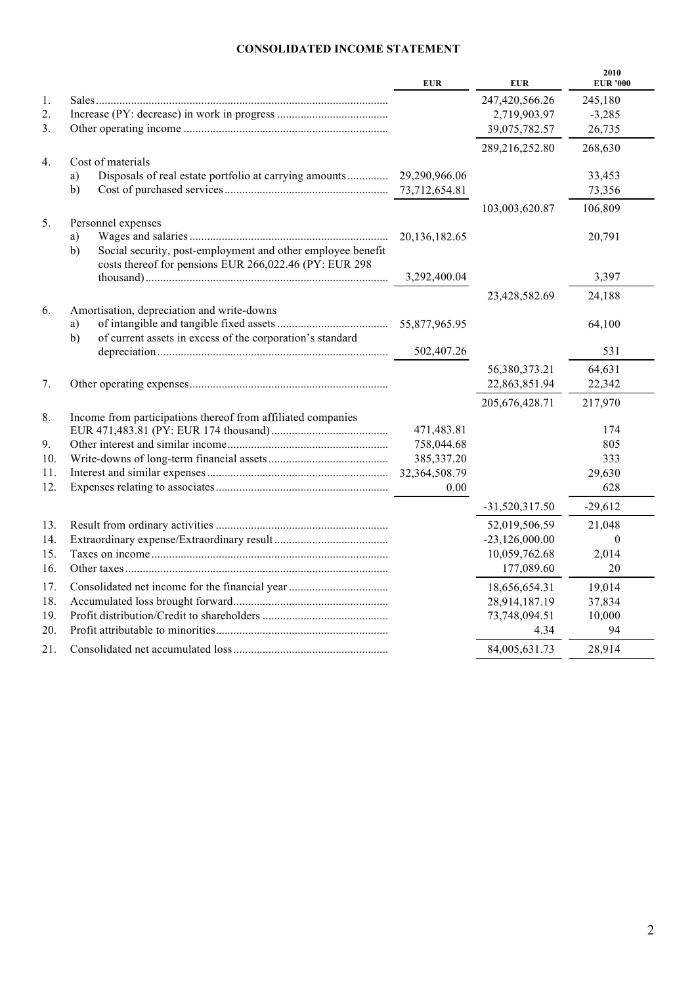# **CONSOLIDATED INCOME STATEMENT**

|     |                                                                                                                             | <b>EUR</b>    | <b>EUR</b>       | 2010<br><b>EUR '000</b> |
|-----|-----------------------------------------------------------------------------------------------------------------------------|---------------|------------------|-------------------------|
| 1.  |                                                                                                                             |               | 247,420,566.26   | 245,180                 |
| 2.  |                                                                                                                             |               | 2,719,903.97     | $-3,285$                |
| 3.  |                                                                                                                             |               | 39,075,782.57    | 26,735                  |
|     |                                                                                                                             |               | 289,216,252.80   | 268,630                 |
| 4.  | Cost of materials                                                                                                           |               |                  |                         |
|     | Disposals of real estate portfolio at carrying amounts<br>a)                                                                | 29,290,966.06 |                  | 33,453                  |
|     | b)                                                                                                                          |               |                  | 73,356                  |
|     |                                                                                                                             |               | 103,003,620.87   | 106,809                 |
| 5.  | Personnel expenses                                                                                                          |               |                  |                         |
|     | a)                                                                                                                          | 20,136,182.65 |                  | 20,791                  |
|     | Social security, post-employment and other employee benefit<br>b)<br>costs thereof for pensions EUR 266,022.46 (PY: EUR 298 |               |                  |                         |
|     |                                                                                                                             | 3,292,400.04  |                  | 3,397                   |
|     |                                                                                                                             |               | 23,428,582.69    | 24,188                  |
| 6.  | Amortisation, depreciation and write-downs                                                                                  |               |                  |                         |
|     | a)                                                                                                                          | 55,877,965.95 |                  | 64,100                  |
|     | of current assets in excess of the corporation's standard<br>b)                                                             | 502,407.26    |                  | 531                     |
|     |                                                                                                                             |               | 56,380,373.21    | 64,631                  |
| 7.  |                                                                                                                             |               | 22,863,851.94    | 22,342                  |
|     |                                                                                                                             |               | 205, 676, 428.71 | 217,970                 |
| 8.  | Income from participations thereof from affiliated companies                                                                |               |                  |                         |
|     |                                                                                                                             | 471,483.81    |                  | 174                     |
| 9.  |                                                                                                                             | 758,044.68    |                  | 805                     |
| 10. |                                                                                                                             | 385, 337. 20  |                  | 333                     |
| 11. |                                                                                                                             | 32,364,508.79 |                  | 29,630                  |
| 12. |                                                                                                                             | 0.00          |                  | 628                     |
|     |                                                                                                                             |               | $-31,520,317.50$ | $-29,612$               |
| 13. |                                                                                                                             |               | 52,019,506.59    | 21,048                  |
| 14. |                                                                                                                             |               | $-23,126,000.00$ | $\theta$                |
| 15. |                                                                                                                             |               | 10,059,762.68    | 2,014                   |
| 16. |                                                                                                                             |               | 177,089.60       | 20                      |
| 17. |                                                                                                                             |               | 18,656,654.31    | 19,014                  |
| 18. |                                                                                                                             |               | 28,914,187.19    | 37,834                  |
| 19. |                                                                                                                             |               | 73,748,094.51    | 10,000                  |
| 20. |                                                                                                                             |               | 4.34             | 94                      |
| 21. |                                                                                                                             |               | 84,005,631.73    | 28,914                  |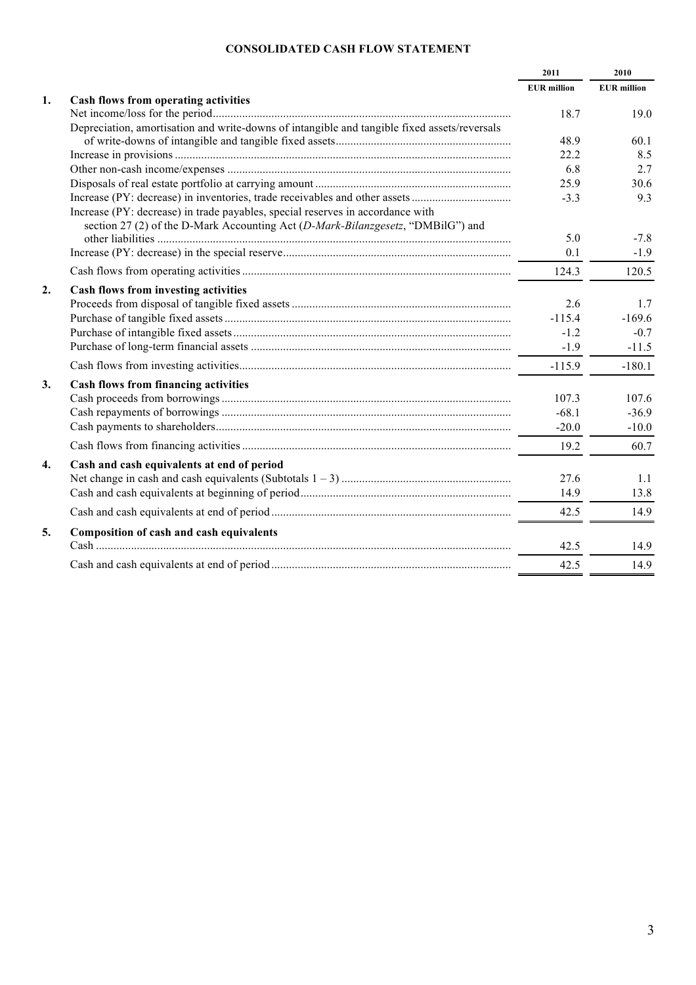# **CONSOLIDATED CASH FLOW STATEMENT**

|    |                                                                                              | 2011               | 2010               |
|----|----------------------------------------------------------------------------------------------|--------------------|--------------------|
|    |                                                                                              | <b>EUR</b> million | <b>EUR</b> million |
| 1. | Cash flows from operating activities                                                         |                    |                    |
|    |                                                                                              | 18.7               | 19.0               |
|    | Depreciation, amortisation and write-downs of intangible and tangible fixed assets/reversals |                    |                    |
|    |                                                                                              | 48.9               | 60.1               |
|    |                                                                                              | 22.2               | 8.5                |
|    |                                                                                              | 6.8                | 2.7                |
|    |                                                                                              | 25.9               | 30.6               |
|    |                                                                                              | $-3.3$             | 9.3                |
|    | Increase (PY: decrease) in trade payables, special reserves in accordance with               |                    |                    |
|    | section 27 (2) of the D-Mark Accounting Act (D-Mark-Bilanzgesetz, "DMBilG") and              | 5.0                | $-7.8$             |
|    |                                                                                              | 0.1                | $-1.9$             |
|    |                                                                                              | 124.3              |                    |
|    |                                                                                              |                    | 120.5              |
| 2. | Cash flows from investing activities                                                         |                    |                    |
|    |                                                                                              | 2.6                | 1.7                |
|    |                                                                                              | $-115.4$           | $-169.6$           |
|    |                                                                                              | $-1.2$             | $-0.7$             |
|    |                                                                                              | $-1.9$             | $-11.5$            |
|    |                                                                                              | $-115.9$           | $-180.1$           |
| 3. | <b>Cash flows from financing activities</b>                                                  |                    |                    |
|    |                                                                                              | 107.3              | 107.6              |
|    |                                                                                              | $-68.1$            | $-36.9$            |
|    |                                                                                              | $-20.0$            | $-10.0$            |
|    |                                                                                              | 19.2               | 60.7               |
| 4. | Cash and cash equivalents at end of period                                                   |                    |                    |
|    |                                                                                              | 27.6               | 1.1                |
|    |                                                                                              | 14.9               | 13.8               |
|    |                                                                                              | 42.5               | 14.9               |
| 5. | <b>Composition of cash and cash equivalents</b>                                              |                    |                    |
|    |                                                                                              | 42.5               | 14.9               |
|    |                                                                                              | 42.5               | 14.9               |
|    |                                                                                              |                    |                    |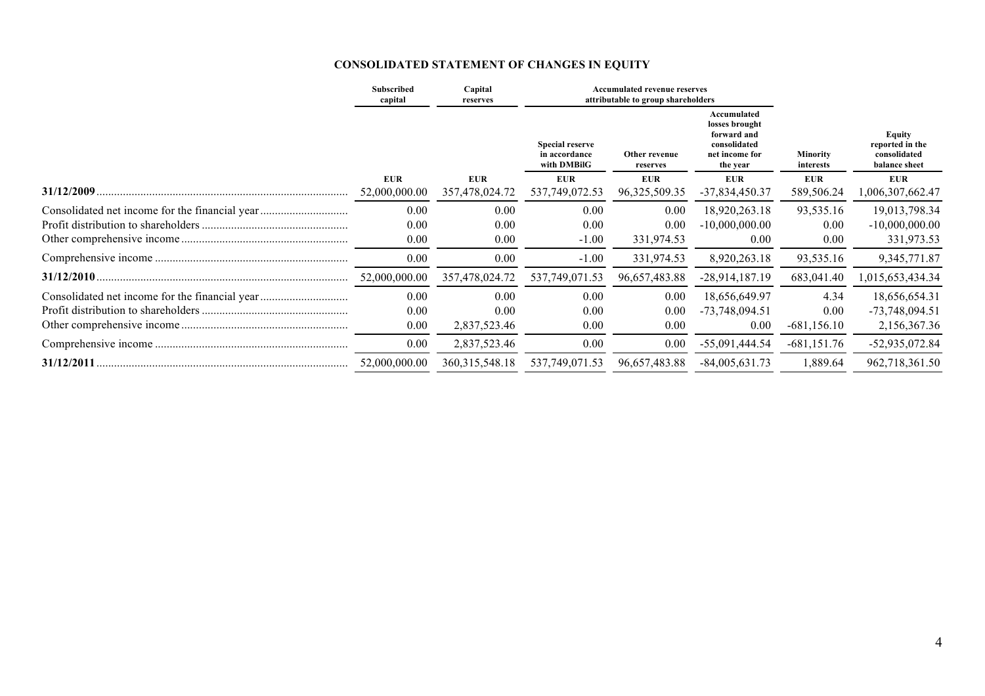# **CONSOLIDATED STATEMENT OF CHANGES IN EQUITY**

|                                                | Subscribed<br>capital       | Capital<br>reserves          |                                                        | <b>Accumulated revenue reserves</b><br>attributable to group shareholders |                                                                                            |                                |                                                                   |
|------------------------------------------------|-----------------------------|------------------------------|--------------------------------------------------------|---------------------------------------------------------------------------|--------------------------------------------------------------------------------------------|--------------------------------|-------------------------------------------------------------------|
|                                                |                             |                              | <b>Special reserve</b><br>in accordance<br>with DMBilG | Other revenue<br>reserves                                                 | Accumulated<br>losses brought<br>forward and<br>consolidated<br>net income for<br>the year | <b>Minority</b><br>interests   | <b>Equity</b><br>reported in the<br>consolidated<br>balance sheet |
| 31/12/2009                                     | <b>EUR</b><br>52,000,000.00 | <b>EUR</b><br>357,478,024.72 | <b>EUR</b><br>537,749,072.53                           | <b>EUR</b><br>96, 325, 509. 35                                            | <b>EUR</b><br>$-37,834,450.37$                                                             | <b>EUR</b><br>589,506.24       | <b>EUR</b><br>1,006,307,662.47                                    |
| Consolidated net income for the financial year | 0.00<br>0.00<br>0.00        | 0.00<br>0.00<br>0.00         | 0.00<br>0.00<br>$-1.00$                                | 0.00<br>0.00<br>331,974.53                                                | 18,920,263.18<br>$-10,000,000.00$<br>0.00                                                  | 93,535.16<br>0.00<br>0.00      | 19,013,798.34<br>$-10,000,000.00$<br>331,973.53                   |
|                                                | 0.00                        | 0.00                         | $-1.00$                                                | 331,974.53                                                                | 8,920,263.18                                                                               | 93,535.16                      | 9, 345, 771.87                                                    |
|                                                | 52,000,000.00               | 357,478,024.72               | 537,749,071.53                                         | 96,657,483.88                                                             | $-28,914,187.19$                                                                           | 683,041.40                     | 1,015,653,434.34                                                  |
| Consolidated net income for the financial year | 0.00<br>0.00<br>0.00        | 0.00<br>0.00<br>2,837,523.46 | 0.00<br>0.00<br>0.00                                   | 0.00<br>0.00<br>0.00                                                      | 18,656,649.97<br>$-73,748,094.51$<br>0.00                                                  | 4.34<br>0.00<br>$-681, 156.10$ | 18,656,654.31<br>$-73,748,094.51$<br>2,156,367.36                 |
|                                                | 0.00                        | 2,837,523.46                 | 0.00                                                   | 0.00                                                                      | $-55,091,444.54$                                                                           | $-681,151.76$                  | $-52,935,072.84$                                                  |
|                                                | 52,000,000.00               | 360, 315, 548. 18            | 537,749,071.53                                         | 96,657,483.88                                                             | $-84,005,631.73$                                                                           | 1,889.64                       | 962,718,361.50                                                    |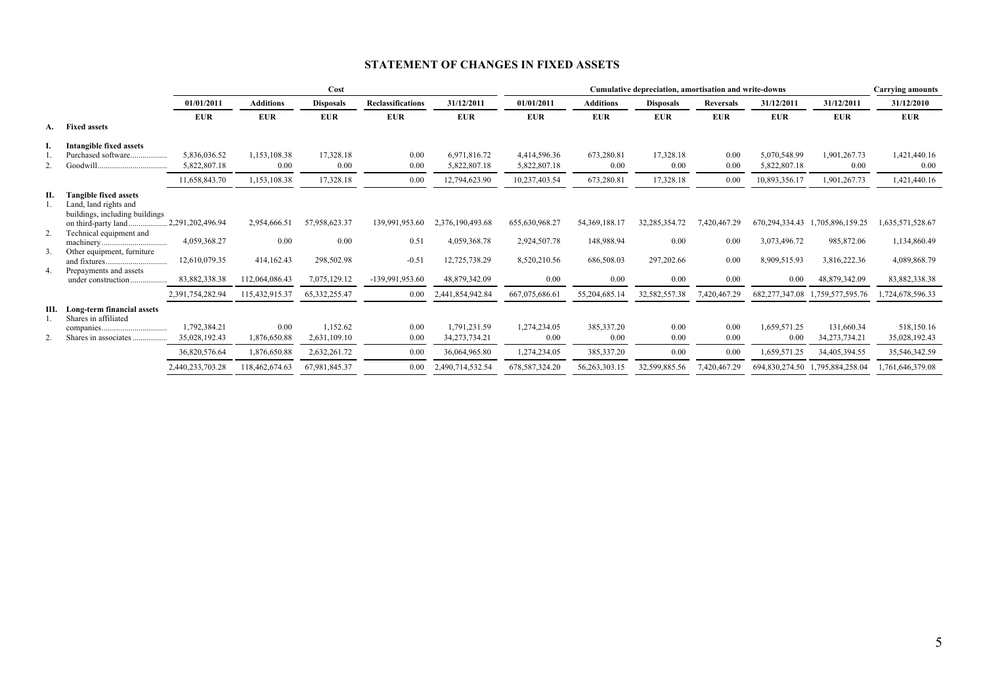# **STATEMENT OF CHANGES IN FIXED ASSETS**

|    |                                 | Cost             |                  |                  |                          |                  | Cumulative depreciation, amortisation and write-downs |                  |                  |                  |                | <b>Carrying amounts</b>         |                  |
|----|---------------------------------|------------------|------------------|------------------|--------------------------|------------------|-------------------------------------------------------|------------------|------------------|------------------|----------------|---------------------------------|------------------|
|    |                                 | 01/01/2011       | <b>Additions</b> | <b>Disposals</b> | <b>Reclassifications</b> | 31/12/2011       | 01/01/2011                                            | <b>Additions</b> | <b>Disposals</b> | <b>Reversals</b> | 31/12/2011     | 31/12/2011                      | 31/12/2010       |
|    |                                 | <b>EUR</b>       | <b>EUR</b>       | <b>EUR</b>       | <b>EUR</b>               | <b>EUR</b>       | <b>EUR</b>                                            | <b>EUR</b>       | <b>EUR</b>       | <b>EUR</b>       | <b>EUR</b>     | <b>EUR</b>                      | <b>EUR</b>       |
|    | A. Fixed assets                 |                  |                  |                  |                          |                  |                                                       |                  |                  |                  |                |                                 |                  |
|    | Intangible fixed assets         |                  |                  |                  |                          |                  |                                                       |                  |                  |                  |                |                                 |                  |
|    | Purchased software              | 5.836.036.52     | 1,153,108.38     | 17,328.18        | 0.00                     | 6,971,816.72     | 4,414,596.36                                          | 673,280.81       | 17,328.18        | 0.00             | 5,070,548.99   | 1,901,267.73                    | 1,421,440.16     |
|    |                                 | 5,822,807.18     | 0.00             | 0.00             | 0.00                     | 5,822,807.18     | 5,822,807.18                                          | 0.00             | 0.00             | 0.00             | 5,822,807.18   | 0.00                            | 0.00             |
|    |                                 | 11,658,843.70    | 1,153,108.38     | 17,328.18        | 0.00                     | 12,794,623.90    | 10,237,403.54                                         | 673,280.81       | 17,328.18        | 0.00             | 10,893,356.17  | 1,901,267.73                    | 1,421,440.16     |
| П. | <b>Tangible fixed assets</b>    |                  |                  |                  |                          |                  |                                                       |                  |                  |                  |                |                                 |                  |
|    | Land, land rights and           |                  |                  |                  |                          |                  |                                                       |                  |                  |                  |                |                                 |                  |
|    | buildings, including buildings  |                  |                  |                  |                          |                  |                                                       |                  |                  |                  |                |                                 |                  |
| 2. | on third-party land             | 2,291,202,496.94 | 2,954,666.51     | 57,958,623.37    | 139,991,953.60           | 2,376,190,493.68 | 655,630,968.27                                        | 54, 369, 188. 17 | 32, 285, 354. 72 | 7,420,467.29     | 670,294,334.43 | 1,705,896,159.25                | 1,635,571,528.67 |
|    | Technical equipment and         | 4,059,368.27     | 0.00             | 0.00             | 0.51                     | 4,059,368.78     | 2,924,507.78                                          | 148,988.94       | 0.00             | 0.00             | 3,073,496.72   | 985,872.06                      | 1,134,860.49     |
| 3. | Other equipment, furniture      |                  |                  |                  |                          |                  |                                                       |                  |                  |                  |                |                                 |                  |
|    |                                 | 12,610,079.35    | 414,162.43       | 298,502.98       | $-0.51$                  | 12,725,738.29    | 8,520,210.56                                          | 686,508.03       | 297,202.66       | 0.00             | 8,909,515.93   | 3,816,222.36                    | 4,089,868.79     |
| 4. | Prepayments and assets          |                  |                  |                  |                          |                  |                                                       |                  |                  |                  |                |                                 |                  |
|    | under construction              | 83,882,338.38    | 112,064,086.43   | 7,075,129.12     | $-139,991,953.60$        | 48,879,342.09    | 0.00                                                  | 0.00             | 0.00             | 0.00             | 0.00           | 48,879,342.09                   | 83,882,338.38    |
|    |                                 | 2,391,754,282.94 | 115,432,915.37   | 65, 332, 255. 47 | $0.00\,$                 | 2,441,854,942.84 | 667,075,686.61                                        | 55,204,685.14    | 32,582,557.38    | 7,420,467.29     | 682,277,347.08 | 1,759,577,595.76                | 1,724,678,596.33 |
|    | III. Long-term financial assets |                  |                  |                  |                          |                  |                                                       |                  |                  |                  |                |                                 |                  |
|    | Shares in affiliated            |                  |                  |                  |                          |                  |                                                       |                  |                  |                  |                |                                 |                  |
|    |                                 | 1,792,384.21     | 0.00             | 1,152.62         | 0.00                     | 1,791,231.59     | 1,274,234.05                                          | 385,337.20       | 0.00             | 0.00             | 1,659,571.25   | 131,660.34                      | 518,150.16       |
|    | Shares in associates            | 35,028,192.43    | 1,876,650.88     | 2,631,109.10     | 0.00                     | 34,273,734.21    | 0.00                                                  | 0.00             | 0.00             | 0.00             | 0.00           | 34, 273, 734. 21                | 35,028,192.43    |
|    |                                 | 36,820,576.64    | 1,876,650.88     | 2,632,261.72     | 0.00                     | 36,064,965.80    | 1,274,234.05                                          | 385,337.20       | 0.00             | 0.00             | 1,659,571.25   | 34,405,394.55                   | 35,546,342.59    |
|    |                                 | 2,440,233,703.28 | 118,462,674.63   | 67,981,845.37    | 0.00                     | 2,490,714,532.54 | 678, 587, 324. 20                                     | 56, 263, 303. 15 | 32,599,885.56    | 7,420,467.29     |                | 694,830,274.50 1,795,884,258.04 | 1,761,646,379.08 |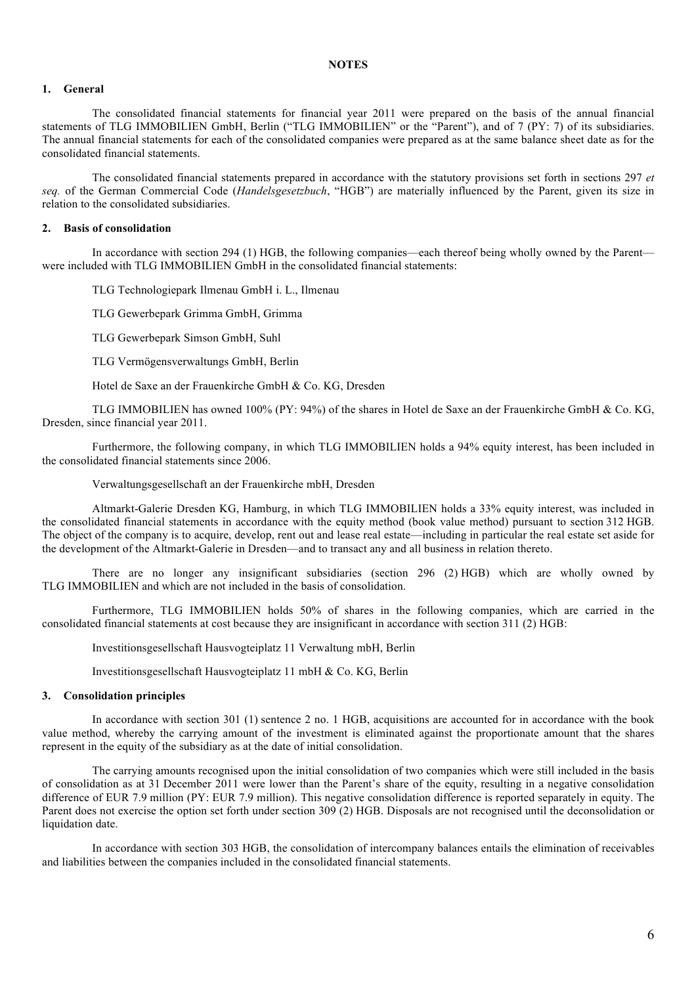#### **1. General**

The consolidated financial statements for financial year 2011 were prepared on the basis of the annual financial statements of TLG IMMOBILIEN GmbH, Berlin ("TLG IMMOBILIEN" or the "Parent"), and of 7 (PY: 7) of its subsidiaries. The annual financial statements for each of the consolidated companies were prepared as at the same balance sheet date as for the consolidated financial statements.

The consolidated financial statements prepared in accordance with the statutory provisions set forth in sections 297 *et seq.* of the German Commercial Code (*Handelsgesetzbuch*, "HGB") are materially influenced by the Parent, given its size in relation to the consolidated subsidiaries.

#### **2. Basis of consolidation**

In accordance with section 294 (1) HGB, the following companies—each thereof being wholly owned by the Parent were included with TLG IMMOBILIEN GmbH in the consolidated financial statements:

TLG Technologiepark Ilmenau GmbH i. L., Ilmenau

TLG Gewerbepark Grimma GmbH, Grimma

TLG Gewerbepark Simson GmbH, Suhl

TLG Vermögensverwaltungs GmbH, Berlin

Hotel de Saxe an der Frauenkirche GmbH & Co. KG, Dresden

TLG IMMOBILIEN has owned 100% (PY: 94%) of the shares in Hotel de Saxe an der Frauenkirche GmbH & Co. KG, Dresden, since financial year 2011.

Furthermore, the following company, in which TLG IMMOBILIEN holds a 94% equity interest, has been included in the consolidated financial statements since 2006.

Verwaltungsgesellschaft an der Frauenkirche mbH, Dresden

Altmarkt-Galerie Dresden KG, Hamburg, in which TLG IMMOBILIEN holds a 33% equity interest, was included in the consolidated financial statements in accordance with the equity method (book value method) pursuant to section 312 HGB. The object of the company is to acquire, develop, rent out and lease real estate—including in particular the real estate set aside for the development of the Altmarkt-Galerie in Dresden—and to transact any and all business in relation thereto.

There are no longer any insignificant subsidiaries (section 296 (2) HGB) which are wholly owned by TLG IMMOBILIEN and which are not included in the basis of consolidation.

Furthermore, TLG IMMOBILIEN holds 50% of shares in the following companies, which are carried in the consolidated financial statements at cost because they are insignificant in accordance with section 311 (2) HGB:

Investitionsgesellschaft Hausvogteiplatz 11 Verwaltung mbH, Berlin

Investitionsgesellschaft Hausvogteiplatz 11 mbH & Co. KG, Berlin

### **3. Consolidation principles**

In accordance with section 301 (1) sentence 2 no. 1 HGB, acquisitions are accounted for in accordance with the book value method, whereby the carrying amount of the investment is eliminated against the proportionate amount that the shares represent in the equity of the subsidiary as at the date of initial consolidation.

The carrying amounts recognised upon the initial consolidation of two companies which were still included in the basis of consolidation as at 31 December 2011 were lower than the Parent's share of the equity, resulting in a negative consolidation difference of EUR 7.9 million (PY: EUR 7.9 million). This negative consolidation difference is reported separately in equity. The Parent does not exercise the option set forth under section 309 (2) HGB. Disposals are not recognised until the deconsolidation or liquidation date.

In accordance with section 303 HGB, the consolidation of intercompany balances entails the elimination of receivables and liabilities between the companies included in the consolidated financial statements.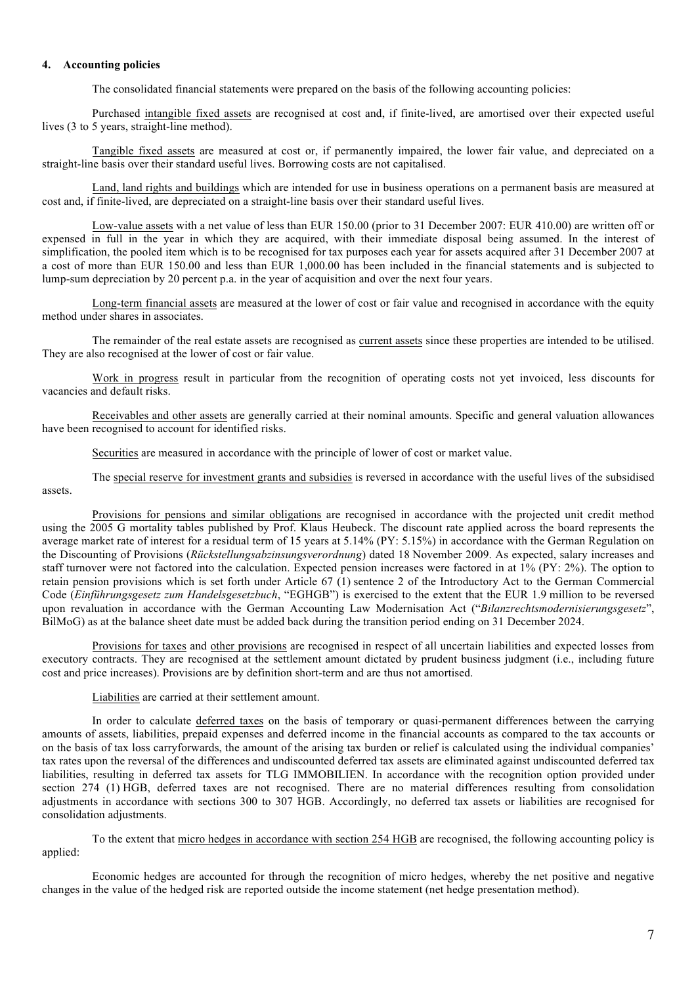# **4. Accounting policies**

The consolidated financial statements were prepared on the basis of the following accounting policies:

Purchased intangible fixed assets are recognised at cost and, if finite-lived, are amortised over their expected useful lives (3 to 5 years, straight-line method).

Tangible fixed assets are measured at cost or, if permanently impaired, the lower fair value, and depreciated on a straight-line basis over their standard useful lives. Borrowing costs are not capitalised.

Land, land rights and buildings which are intended for use in business operations on a permanent basis are measured at cost and, if finite-lived, are depreciated on a straight-line basis over their standard useful lives.

Low-value assets with a net value of less than EUR 150.00 (prior to 31 December 2007: EUR 410.00) are written off or expensed in full in the year in which they are acquired, with their immediate disposal being assumed. In the interest of simplification, the pooled item which is to be recognised for tax purposes each year for assets acquired after 31 December 2007 at a cost of more than EUR 150.00 and less than EUR 1,000.00 has been included in the financial statements and is subjected to lump-sum depreciation by 20 percent p.a. in the year of acquisition and over the next four years.

Long-term financial assets are measured at the lower of cost or fair value and recognised in accordance with the equity method under shares in associates.

The remainder of the real estate assets are recognised as current assets since these properties are intended to be utilised. They are also recognised at the lower of cost or fair value.

Work in progress result in particular from the recognition of operating costs not yet invoiced, less discounts for vacancies and default risks.

Receivables and other assets are generally carried at their nominal amounts. Specific and general valuation allowances have been recognised to account for identified risks.

Securities are measured in accordance with the principle of lower of cost or market value.

The special reserve for investment grants and subsidies is reversed in accordance with the useful lives of the subsidised assets.

Provisions for pensions and similar obligations are recognised in accordance with the projected unit credit method using the 2005 G mortality tables published by Prof. Klaus Heubeck. The discount rate applied across the board represents the average market rate of interest for a residual term of 15 years at 5.14% (PY: 5.15%) in accordance with the German Regulation on the Discounting of Provisions (*Rückstellungsabzinsungsverordnung*) dated 18 November 2009. As expected, salary increases and staff turnover were not factored into the calculation. Expected pension increases were factored in at 1% (PY: 2%). The option to retain pension provisions which is set forth under Article 67 (1) sentence 2 of the Introductory Act to the German Commercial Code (*Einführungsgesetz zum Handelsgesetzbuch*, "EGHGB") is exercised to the extent that the EUR 1.9 million to be reversed upon revaluation in accordance with the German Accounting Law Modernisation Act ("*Bilanzrechtsmodernisierungsgesetz*", BilMoG) as at the balance sheet date must be added back during the transition period ending on 31 December 2024.

Provisions for taxes and other provisions are recognised in respect of all uncertain liabilities and expected losses from executory contracts. They are recognised at the settlement amount dictated by prudent business judgment (i.e., including future cost and price increases). Provisions are by definition short-term and are thus not amortised.

Liabilities are carried at their settlement amount.

In order to calculate deferred taxes on the basis of temporary or quasi-permanent differences between the carrying amounts of assets, liabilities, prepaid expenses and deferred income in the financial accounts as compared to the tax accounts or on the basis of tax loss carryforwards, the amount of the arising tax burden or relief is calculated using the individual companies' tax rates upon the reversal of the differences and undiscounted deferred tax assets are eliminated against undiscounted deferred tax liabilities, resulting in deferred tax assets for TLG IMMOBILIEN. In accordance with the recognition option provided under section 274 (1) HGB, deferred taxes are not recognised. There are no material differences resulting from consolidation adjustments in accordance with sections 300 to 307 HGB. Accordingly, no deferred tax assets or liabilities are recognised for consolidation adjustments.

To the extent that micro hedges in accordance with section 254 HGB are recognised, the following accounting policy is applied:

Economic hedges are accounted for through the recognition of micro hedges, whereby the net positive and negative changes in the value of the hedged risk are reported outside the income statement (net hedge presentation method).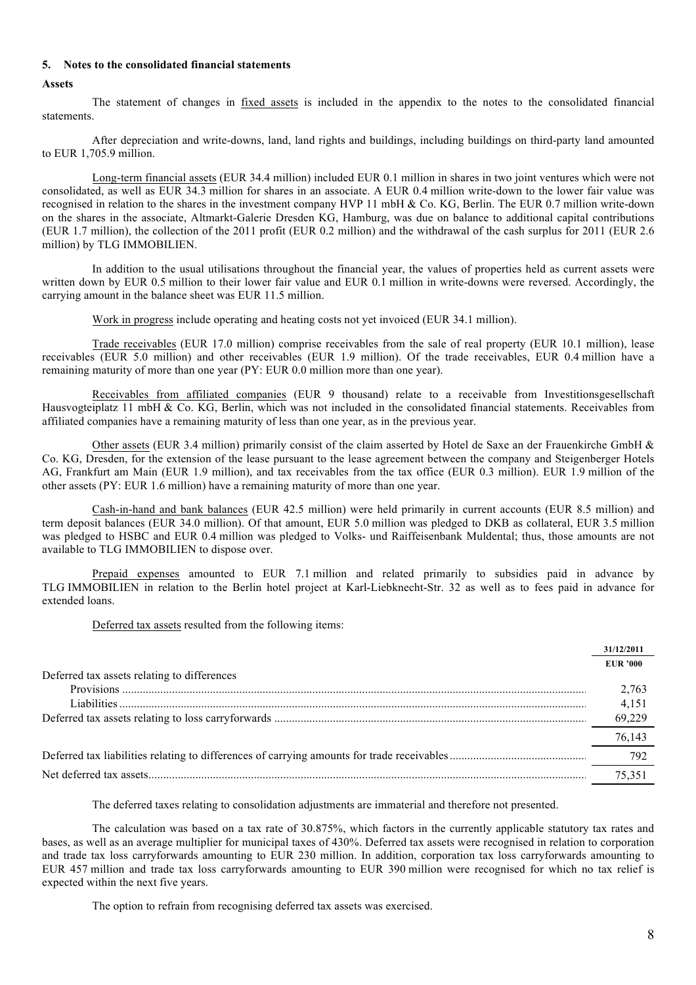#### **5. Notes to the consolidated financial statements**

#### **Assets**

The statement of changes in fixed assets is included in the appendix to the notes to the consolidated financial statements.

After depreciation and write-downs, land, land rights and buildings, including buildings on third-party land amounted to EUR 1,705.9 million.

Long-term financial assets (EUR 34.4 million) included EUR 0.1 million in shares in two joint ventures which were not consolidated, as well as EUR 34.3 million for shares in an associate. A EUR 0.4 million write-down to the lower fair value was recognised in relation to the shares in the investment company HVP 11 mbH & Co. KG, Berlin. The EUR 0.7 million write-down on the shares in the associate, Altmarkt-Galerie Dresden KG, Hamburg, was due on balance to additional capital contributions (EUR 1.7 million), the collection of the 2011 profit (EUR 0.2 million) and the withdrawal of the cash surplus for 2011 (EUR 2.6 million) by TLG IMMOBILIEN.

In addition to the usual utilisations throughout the financial year, the values of properties held as current assets were written down by EUR 0.5 million to their lower fair value and EUR 0.1 million in write-downs were reversed. Accordingly, the carrying amount in the balance sheet was EUR 11.5 million.

Work in progress include operating and heating costs not yet invoiced (EUR 34.1 million).

Trade receivables (EUR 17.0 million) comprise receivables from the sale of real property (EUR 10.1 million), lease receivables (EUR 5.0 million) and other receivables (EUR 1.9 million). Of the trade receivables, EUR 0.4 million have a remaining maturity of more than one year (PY: EUR 0.0 million more than one year).

Receivables from affiliated companies (EUR 9 thousand) relate to a receivable from Investitionsgesellschaft Hausvogteiplatz 11 mbH & Co. KG, Berlin, which was not included in the consolidated financial statements. Receivables from affiliated companies have a remaining maturity of less than one year, as in the previous year.

Other assets (EUR 3.4 million) primarily consist of the claim asserted by Hotel de Saxe an der Frauenkirche GmbH  $\&$ Co. KG, Dresden, for the extension of the lease pursuant to the lease agreement between the company and Steigenberger Hotels AG, Frankfurt am Main (EUR 1.9 million), and tax receivables from the tax office (EUR 0.3 million). EUR 1.9 million of the other assets (PY: EUR 1.6 million) have a remaining maturity of more than one year.

Cash-in-hand and bank balances (EUR 42.5 million) were held primarily in current accounts (EUR 8.5 million) and term deposit balances (EUR 34.0 million). Of that amount, EUR 5.0 million was pledged to DKB as collateral, EUR 3.5 million was pledged to HSBC and EUR 0.4 million was pledged to Volks- und Raiffeisenbank Muldental; thus, those amounts are not available to TLG IMMOBILIEN to dispose over.

Prepaid expenses amounted to EUR 7.1 million and related primarily to subsidies paid in advance by TLG IMMOBILIEN in relation to the Berlin hotel project at Karl-Liebknecht-Str. 32 as well as to fees paid in advance for extended loans.

Deferred tax assets resulted from the following items:

|                                             | 31/12/2011      |
|---------------------------------------------|-----------------|
|                                             | <b>EUR '000</b> |
| Deferred tax assets relating to differences |                 |
|                                             | 2,763           |
| Liabilities                                 | 4,151           |
|                                             | 69,229          |
|                                             | 76.143          |
|                                             | 792             |
|                                             | 75,351          |
|                                             |                 |

The deferred taxes relating to consolidation adjustments are immaterial and therefore not presented.

The calculation was based on a tax rate of 30.875%, which factors in the currently applicable statutory tax rates and bases, as well as an average multiplier for municipal taxes of 430%. Deferred tax assets were recognised in relation to corporation and trade tax loss carryforwards amounting to EUR 230 million. In addition, corporation tax loss carryforwards amounting to EUR 457 million and trade tax loss carryforwards amounting to EUR 390 million were recognised for which no tax relief is expected within the next five years.

The option to refrain from recognising deferred tax assets was exercised.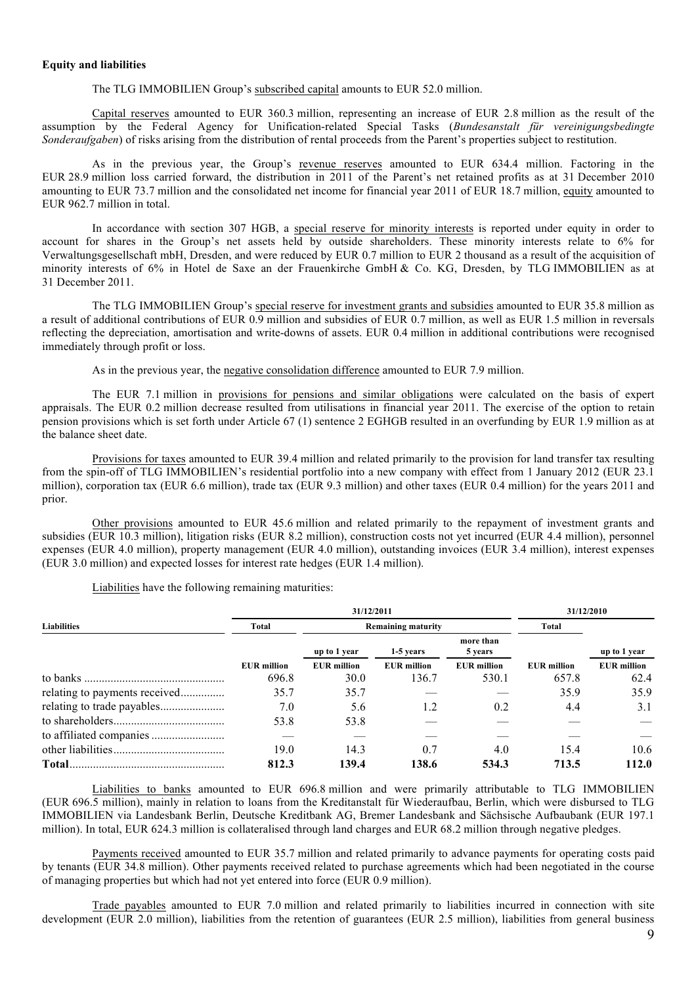#### **Equity and liabilities**

The TLG IMMOBILIEN Group's subscribed capital amounts to EUR 52.0 million.

Capital reserves amounted to EUR 360.3 million, representing an increase of EUR 2.8 million as the result of the assumption by the Federal Agency for Unification-related Special Tasks (*Bundesanstalt für vereinigungsbedingte Sonderaufgaben*) of risks arising from the distribution of rental proceeds from the Parent's properties subject to restitution.

As in the previous year, the Group's revenue reserves amounted to EUR 634.4 million. Factoring in the EUR 28.9 million loss carried forward, the distribution in 2011 of the Parent's net retained profits as at 31 December 2010 amounting to EUR 73.7 million and the consolidated net income for financial year 2011 of EUR 18.7 million, equity amounted to EUR 962.7 million in total.

In accordance with section 307 HGB, a special reserve for minority interests is reported under equity in order to account for shares in the Group's net assets held by outside shareholders. These minority interests relate to 6% for Verwaltungsgesellschaft mbH, Dresden, and were reduced by EUR 0.7 million to EUR 2 thousand as a result of the acquisition of minority interests of 6% in Hotel de Saxe an der Frauenkirche GmbH & Co. KG, Dresden, by TLG IMMOBILIEN as at 31 December 2011.

The TLG IMMOBILIEN Group's special reserve for investment grants and subsidies amounted to EUR 35.8 million as a result of additional contributions of EUR 0.9 million and subsidies of EUR 0.7 million, as well as EUR 1.5 million in reversals reflecting the depreciation, amortisation and write-downs of assets. EUR 0.4 million in additional contributions were recognised immediately through profit or loss.

As in the previous year, the negative consolidation difference amounted to EUR 7.9 million.

The EUR 7.1 million in provisions for pensions and similar obligations were calculated on the basis of expert appraisals. The EUR 0.2 million decrease resulted from utilisations in financial year 2011. The exercise of the option to retain pension provisions which is set forth under Article 67 (1) sentence 2 EGHGB resulted in an overfunding by EUR 1.9 million as at the balance sheet date.

Provisions for taxes amounted to EUR 39.4 million and related primarily to the provision for land transfer tax resulting from the spin-off of TLG IMMOBILIEN's residential portfolio into a new company with effect from 1 January 2012 (EUR 23.1 million), corporation tax (EUR 6.6 million), trade tax (EUR 9.3 million) and other taxes (EUR 0.4 million) for the years 2011 and prior.

Other provisions amounted to EUR 45.6 million and related primarily to the repayment of investment grants and subsidies (EUR 10.3 million), litigation risks (EUR 8.2 million), construction costs not yet incurred (EUR 4.4 million), personnel expenses (EUR 4.0 million), property management (EUR 4.0 million), outstanding invoices (EUR 3.4 million), interest expenses (EUR 3.0 million) and expected losses for interest rate hedges (EUR 1.4 million).

Liabilities have the following remaining maturities:

|                               |                    | 31/12/2011         | 31/12/2010                |                      |                    |                    |
|-------------------------------|--------------------|--------------------|---------------------------|----------------------|--------------------|--------------------|
| <b>Liabilities</b>            | Total              |                    | <b>Remaining maturity</b> | Total                |                    |                    |
|                               |                    | up to 1 year       | 1-5 years                 | more than<br>5 years |                    | up to 1 year       |
|                               | <b>EUR</b> million | <b>EUR</b> million | <b>EUR</b> million        | <b>EUR</b> million   | <b>EUR</b> million | <b>EUR</b> million |
|                               | 696.8              | 30.0               | 136.7                     | 530.1                | 657.8              | 62.4               |
| relating to payments received | 35.7               | 35.7               |                           |                      | 35.9               | 35.9               |
|                               | 7.0                | 5.6                | 1.2                       | 0.2                  | 4.4                | 3.1                |
|                               | 53.8               | 53.8               |                           |                      |                    |                    |
|                               |                    |                    |                           |                      |                    |                    |
|                               | 19.0               | 14.3               | 0.7                       | 4.0                  | 15.4               | 10.6               |
|                               | 812.3              | 139.4              | 138.6                     | 534.3                | 713.5              | 112.0              |

Liabilities to banks amounted to EUR 696.8 million and were primarily attributable to TLG IMMOBILIEN (EUR 696.5 million), mainly in relation to loans from the Kreditanstalt für Wiederaufbau, Berlin, which were disbursed to TLG IMMOBILIEN via Landesbank Berlin, Deutsche Kreditbank AG, Bremer Landesbank and Sächsische Aufbaubank (EUR 197.1 million). In total, EUR 624.3 million is collateralised through land charges and EUR 68.2 million through negative pledges.

Payments received amounted to EUR 35.7 million and related primarily to advance payments for operating costs paid by tenants (EUR 34.8 million). Other payments received related to purchase agreements which had been negotiated in the course of managing properties but which had not yet entered into force (EUR 0.9 million).

Trade payables amounted to EUR 7.0 million and related primarily to liabilities incurred in connection with site development (EUR 2.0 million), liabilities from the retention of guarantees (EUR 2.5 million), liabilities from general business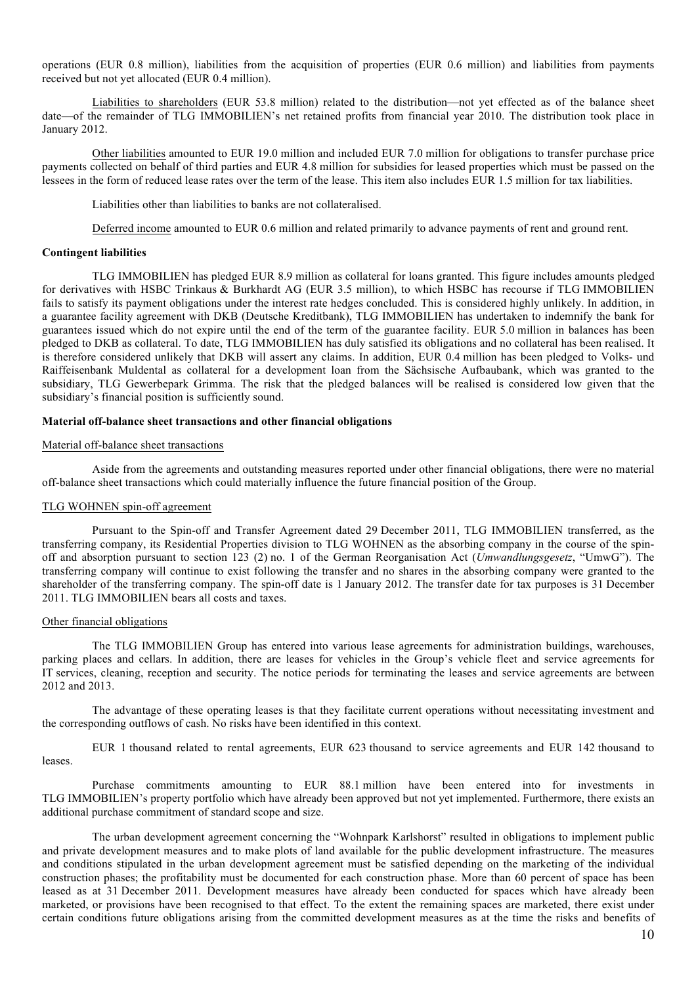operations (EUR 0.8 million), liabilities from the acquisition of properties (EUR 0.6 million) and liabilities from payments received but not yet allocated (EUR 0.4 million).

Liabilities to shareholders (EUR 53.8 million) related to the distribution—not yet effected as of the balance sheet date—of the remainder of TLG IMMOBILIEN's net retained profits from financial year 2010. The distribution took place in January 2012.

Other liabilities amounted to EUR 19.0 million and included EUR 7.0 million for obligations to transfer purchase price payments collected on behalf of third parties and EUR 4.8 million for subsidies for leased properties which must be passed on the lessees in the form of reduced lease rates over the term of the lease. This item also includes EUR 1.5 million for tax liabilities.

Liabilities other than liabilities to banks are not collateralised.

Deferred income amounted to EUR 0.6 million and related primarily to advance payments of rent and ground rent.

#### **Contingent liabilities**

TLG IMMOBILIEN has pledged EUR 8.9 million as collateral for loans granted. This figure includes amounts pledged for derivatives with HSBC Trinkaus & Burkhardt AG (EUR 3.5 million), to which HSBC has recourse if TLG IMMOBILIEN fails to satisfy its payment obligations under the interest rate hedges concluded. This is considered highly unlikely. In addition, in a guarantee facility agreement with DKB (Deutsche Kreditbank), TLG IMMOBILIEN has undertaken to indemnify the bank for guarantees issued which do not expire until the end of the term of the guarantee facility. EUR 5.0 million in balances has been pledged to DKB as collateral. To date, TLG IMMOBILIEN has duly satisfied its obligations and no collateral has been realised. It is therefore considered unlikely that DKB will assert any claims. In addition, EUR 0.4 million has been pledged to Volks- und Raiffeisenbank Muldental as collateral for a development loan from the Sächsische Aufbaubank, which was granted to the subsidiary, TLG Gewerbepark Grimma. The risk that the pledged balances will be realised is considered low given that the subsidiary's financial position is sufficiently sound.

#### **Material off-balance sheet transactions and other financial obligations**

#### Material off-balance sheet transactions

Aside from the agreements and outstanding measures reported under other financial obligations, there were no material off-balance sheet transactions which could materially influence the future financial position of the Group.

# TLG WOHNEN spin-off agreement

Pursuant to the Spin-off and Transfer Agreement dated 29 December 2011, TLG IMMOBILIEN transferred, as the transferring company, its Residential Properties division to TLG WOHNEN as the absorbing company in the course of the spinoff and absorption pursuant to section 123 (2) no. 1 of the German Reorganisation Act (*Umwandlungsgesetz*, "UmwG"). The transferring company will continue to exist following the transfer and no shares in the absorbing company were granted to the shareholder of the transferring company. The spin-off date is 1 January 2012. The transfer date for tax purposes is 31 December 2011. TLG IMMOBILIEN bears all costs and taxes.

#### Other financial obligations

The TLG IMMOBILIEN Group has entered into various lease agreements for administration buildings, warehouses, parking places and cellars. In addition, there are leases for vehicles in the Group's vehicle fleet and service agreements for IT services, cleaning, reception and security. The notice periods for terminating the leases and service agreements are between 2012 and 2013.

The advantage of these operating leases is that they facilitate current operations without necessitating investment and the corresponding outflows of cash. No risks have been identified in this context.

EUR 1 thousand related to rental agreements, EUR 623 thousand to service agreements and EUR 142 thousand to leases.

Purchase commitments amounting to EUR 88.1 million have been entered into for investments in TLG IMMOBILIEN's property portfolio which have already been approved but not yet implemented. Furthermore, there exists an additional purchase commitment of standard scope and size.

The urban development agreement concerning the "Wohnpark Karlshorst" resulted in obligations to implement public and private development measures and to make plots of land available for the public development infrastructure. The measures and conditions stipulated in the urban development agreement must be satisfied depending on the marketing of the individual construction phases; the profitability must be documented for each construction phase. More than 60 percent of space has been leased as at 31 December 2011. Development measures have already been conducted for spaces which have already been marketed, or provisions have been recognised to that effect. To the extent the remaining spaces are marketed, there exist under certain conditions future obligations arising from the committed development measures as at the time the risks and benefits of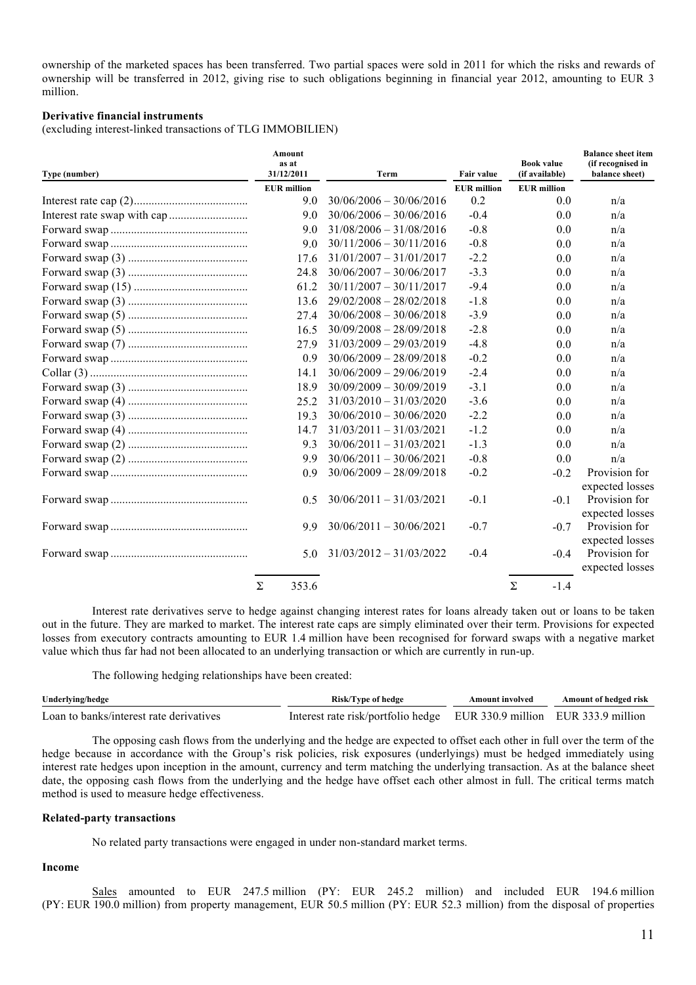ownership of the marketed spaces has been transferred. Two partial spaces were sold in 2011 for which the risks and rewards of ownership will be transferred in 2012, giving rise to such obligations beginning in financial year 2012, amounting to EUR 3 million.

#### **Derivative financial instruments**

(excluding interest-linked transactions of TLG IMMOBILIEN)

| Type (number) | Amount<br>as at<br>31/12/2011 | Term                      | <b>Fair value</b>  | <b>Book value</b><br>(if available) | <b>Balance sheet item</b><br>(if recognised in<br>balance sheet) |
|---------------|-------------------------------|---------------------------|--------------------|-------------------------------------|------------------------------------------------------------------|
|               | <b>EUR</b> million            |                           | <b>EUR</b> million | <b>EUR</b> million                  |                                                                  |
|               | 9.0                           | $30/06/2006 - 30/06/2016$ | 0.2                | 0.0                                 | n/a                                                              |
|               | 9.0                           | $30/06/2006 - 30/06/2016$ | $-0.4$             | 0.0                                 | n/a                                                              |
|               | 9.0                           | $31/08/2006 - 31/08/2016$ | $-0.8$             | 0.0                                 | n/a                                                              |
|               | 9.0                           | $30/11/2006 - 30/11/2016$ | $-0.8$             | 0.0                                 | n/a                                                              |
|               | 17.6                          | $31/01/2007 - 31/01/2017$ | $-2.2$             | 0.0                                 | n/a                                                              |
|               | 24.8                          | $30/06/2007 - 30/06/2017$ | $-3.3$             | 0.0                                 | n/a                                                              |
|               | 61.2                          | $30/11/2007 - 30/11/2017$ | $-9.4$             | 0.0                                 | n/a                                                              |
|               | 13.6                          | $29/02/2008 - 28/02/2018$ | $-1.8$             | 0.0                                 | n/a                                                              |
|               | 27.4                          | $30/06/2008 - 30/06/2018$ | $-3.9$             | 0.0                                 | n/a                                                              |
|               | 16.5                          | $30/09/2008 - 28/09/2018$ | $-2.8$             | 0.0                                 | n/a                                                              |
|               | 27.9                          | $31/03/2009 - 29/03/2019$ | $-4.8$             | 0.0                                 | n/a                                                              |
|               | 0.9                           | $30/06/2009 - 28/09/2018$ | $-0.2$             | 0.0                                 | n/a                                                              |
|               | 14.1                          | $30/06/2009 - 29/06/2019$ | $-2.4$             | 0.0                                 | n/a                                                              |
|               | 18.9                          | $30/09/2009 - 30/09/2019$ | $-3.1$             | 0.0                                 | n/a                                                              |
|               | 25.2                          | $31/03/2010 - 31/03/2020$ | $-3.6$             | 0.0                                 | n/a                                                              |
|               | 19.3                          | $30/06/2010 - 30/06/2020$ | $-2.2$             | 0.0                                 | n/a                                                              |
|               | 14.7                          | $31/03/2011 - 31/03/2021$ | $-1.2$             | 0.0                                 | n/a                                                              |
|               | 9.3                           | $30/06/2011 - 31/03/2021$ | $-1.3$             | 0.0                                 | n/a                                                              |
|               | 9.9                           | $30/06/2011 - 30/06/2021$ | $-0.8$             | 0.0                                 | n/a                                                              |
|               | 0.9                           | $30/06/2009 - 28/09/2018$ | $-0.2$             | $-0.2$                              | Provision for<br>expected losses                                 |
|               | 0.5                           | $30/06/2011 - 31/03/2021$ | $-0.1$             | $-0.1$                              | Provision for<br>expected losses                                 |
|               | 9.9                           | $30/06/2011 - 30/06/2021$ | $-0.7$             | $-0.7$                              | Provision for<br>expected losses                                 |
|               | 5.0                           | $31/03/2012 - 31/03/2022$ | $-0.4$             | $-0.4$                              | Provision for<br>expected losses                                 |
|               | Σ<br>353.6                    |                           |                    | Σ<br>$-1.4$                         |                                                                  |

Interest rate derivatives serve to hedge against changing interest rates for loans already taken out or loans to be taken out in the future. They are marked to market. The interest rate caps are simply eliminated over their term. Provisions for expected losses from executory contracts amounting to EUR 1.4 million have been recognised for forward swaps with a negative market value which thus far had not been allocated to an underlying transaction or which are currently in run-up.

The following hedging relationships have been created:

| Underlying/hedge                        | Risk/Type of hedge                                                     | Amount involved | Amount of hedged risk |  |
|-----------------------------------------|------------------------------------------------------------------------|-----------------|-----------------------|--|
| Loan to banks/interest rate derivatives | Interest rate risk/portfolio hedge EUR 330.9 million EUR 333.9 million |                 |                       |  |

The opposing cash flows from the underlying and the hedge are expected to offset each other in full over the term of the hedge because in accordance with the Group's risk policies, risk exposures (underlyings) must be hedged immediately using interest rate hedges upon inception in the amount, currency and term matching the underlying transaction. As at the balance sheet date, the opposing cash flows from the underlying and the hedge have offset each other almost in full. The critical terms match method is used to measure hedge effectiveness.

#### **Related-party transactions**

No related party transactions were engaged in under non-standard market terms.

# **Income**

Sales amounted to EUR 247.5 million (PY: EUR 245.2 million) and included EUR 194.6 million (PY: EUR 190.0 million) from property management, EUR 50.5 million (PY: EUR 52.3 million) from the disposal of properties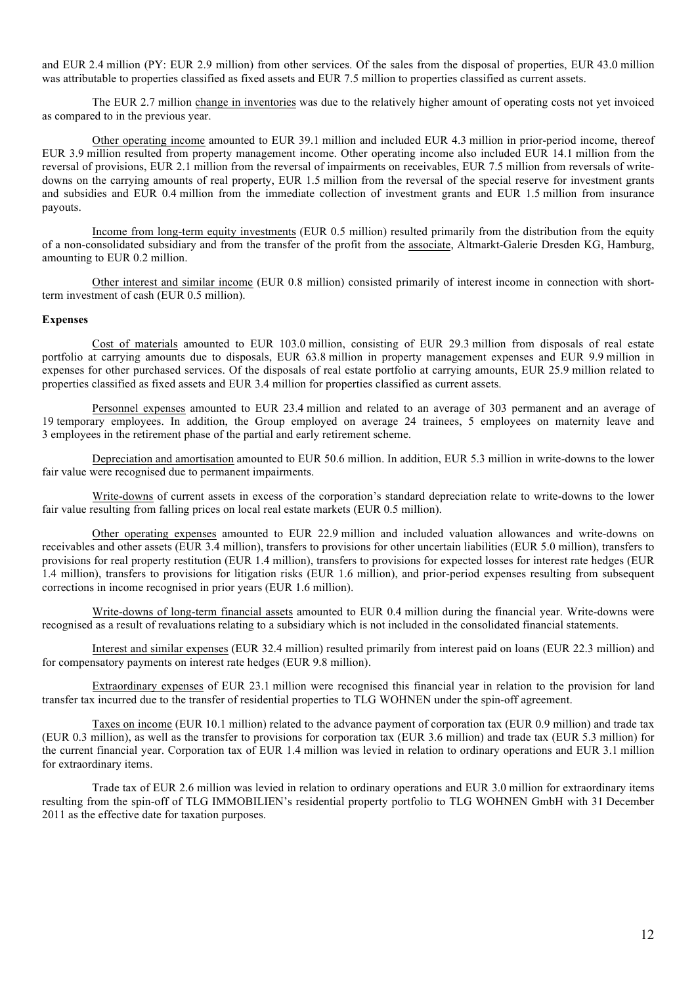and EUR 2.4 million (PY: EUR 2.9 million) from other services. Of the sales from the disposal of properties, EUR 43.0 million was attributable to properties classified as fixed assets and EUR 7.5 million to properties classified as current assets.

The EUR 2.7 million change in inventories was due to the relatively higher amount of operating costs not yet invoiced as compared to in the previous year.

Other operating income amounted to EUR 39.1 million and included EUR 4.3 million in prior-period income, thereof EUR 3.9 million resulted from property management income. Other operating income also included EUR 14.1 million from the reversal of provisions, EUR 2.1 million from the reversal of impairments on receivables, EUR 7.5 million from reversals of writedowns on the carrying amounts of real property, EUR 1.5 million from the reversal of the special reserve for investment grants and subsidies and EUR 0.4 million from the immediate collection of investment grants and EUR 1.5 million from insurance payouts.

Income from long-term equity investments (EUR 0.5 million) resulted primarily from the distribution from the equity of a non-consolidated subsidiary and from the transfer of the profit from the associate, Altmarkt-Galerie Dresden KG, Hamburg, amounting to EUR 0.2 million.

Other interest and similar income (EUR 0.8 million) consisted primarily of interest income in connection with shortterm investment of cash (EUR 0.5 million).

#### **Expenses**

Cost of materials amounted to EUR 103.0 million, consisting of EUR 29.3 million from disposals of real estate portfolio at carrying amounts due to disposals, EUR 63.8 million in property management expenses and EUR 9.9 million in expenses for other purchased services. Of the disposals of real estate portfolio at carrying amounts, EUR 25.9 million related to properties classified as fixed assets and EUR 3.4 million for properties classified as current assets.

Personnel expenses amounted to EUR 23.4 million and related to an average of 303 permanent and an average of 19 temporary employees. In addition, the Group employed on average 24 trainees, 5 employees on maternity leave and 3 employees in the retirement phase of the partial and early retirement scheme.

Depreciation and amortisation amounted to EUR 50.6 million. In addition, EUR 5.3 million in write-downs to the lower fair value were recognised due to permanent impairments.

Write-downs of current assets in excess of the corporation's standard depreciation relate to write-downs to the lower fair value resulting from falling prices on local real estate markets (EUR 0.5 million).

Other operating expenses amounted to EUR 22.9 million and included valuation allowances and write-downs on receivables and other assets (EUR 3.4 million), transfers to provisions for other uncertain liabilities (EUR 5.0 million), transfers to provisions for real property restitution (EUR 1.4 million), transfers to provisions for expected losses for interest rate hedges (EUR 1.4 million), transfers to provisions for litigation risks (EUR 1.6 million), and prior-period expenses resulting from subsequent corrections in income recognised in prior years (EUR 1.6 million).

Write-downs of long-term financial assets amounted to EUR 0.4 million during the financial year. Write-downs were recognised as a result of revaluations relating to a subsidiary which is not included in the consolidated financial statements.

Interest and similar expenses (EUR 32.4 million) resulted primarily from interest paid on loans (EUR 22.3 million) and for compensatory payments on interest rate hedges (EUR 9.8 million).

Extraordinary expenses of EUR 23.1 million were recognised this financial year in relation to the provision for land transfer tax incurred due to the transfer of residential properties to TLG WOHNEN under the spin-off agreement.

Taxes on income (EUR 10.1 million) related to the advance payment of corporation tax (EUR 0.9 million) and trade tax (EUR 0.3 million), as well as the transfer to provisions for corporation tax (EUR 3.6 million) and trade tax (EUR 5.3 million) for the current financial year. Corporation tax of EUR 1.4 million was levied in relation to ordinary operations and EUR 3.1 million for extraordinary items.

Trade tax of EUR 2.6 million was levied in relation to ordinary operations and EUR 3.0 million for extraordinary items resulting from the spin-off of TLG IMMOBILIEN's residential property portfolio to TLG WOHNEN GmbH with 31 December 2011 as the effective date for taxation purposes.